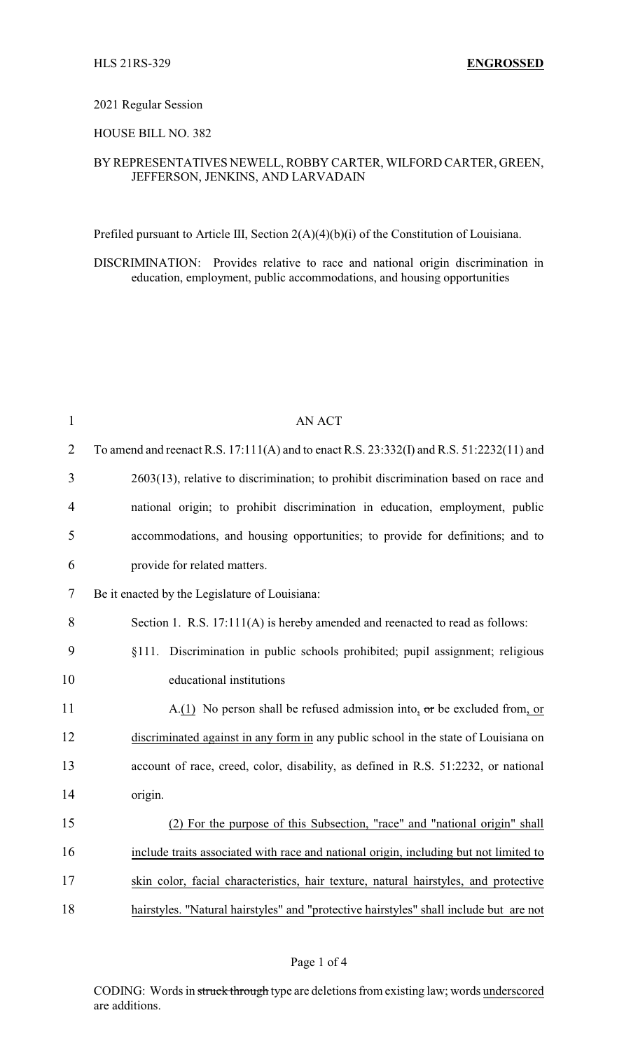### 2021 Regular Session

## HOUSE BILL NO. 382

# BY REPRESENTATIVES NEWELL, ROBBY CARTER, WILFORD CARTER, GREEN, JEFFERSON, JENKINS, AND LARVADAIN

Prefiled pursuant to Article III, Section 2(A)(4)(b)(i) of the Constitution of Louisiana.

DISCRIMINATION: Provides relative to race and national origin discrimination in education, employment, public accommodations, and housing opportunities

| $\mathbf{1}$   | <b>AN ACT</b>                                                                            |
|----------------|------------------------------------------------------------------------------------------|
| $\overline{2}$ | To amend and reenact R.S. 17:111(A) and to enact R.S. 23:332(I) and R.S. 51:2232(11) and |
| 3              | 2603(13), relative to discrimination; to prohibit discrimination based on race and       |
| $\overline{4}$ | national origin; to prohibit discrimination in education, employment, public             |
| 5              | accommodations, and housing opportunities; to provide for definitions; and to            |
| 6              | provide for related matters.                                                             |
| 7              | Be it enacted by the Legislature of Louisiana:                                           |
| 8              | Section 1. R.S. 17:111(A) is hereby amended and reenacted to read as follows:            |
| 9              | §111. Discrimination in public schools prohibited; pupil assignment; religious           |
| 10             | educational institutions                                                                 |
| 11             | A.(1) No person shall be refused admission into, $\sigma$ r be excluded from, or         |
| 12             | discriminated against in any form in any public school in the state of Louisiana on      |
| 13             | account of race, creed, color, disability, as defined in R.S. 51:2232, or national       |
| 14             | origin.                                                                                  |
| 15             | (2) For the purpose of this Subsection, "race" and "national origin" shall               |
| 16             | include traits associated with race and national origin, including but not limited to    |
| 17             | skin color, facial characteristics, hair texture, natural hairstyles, and protective     |
| 18             | hairstyles. "Natural hairstyles" and "protective hairstyles" shall include but are not   |

#### Page 1 of 4

CODING: Words in struck through type are deletions from existing law; words underscored are additions.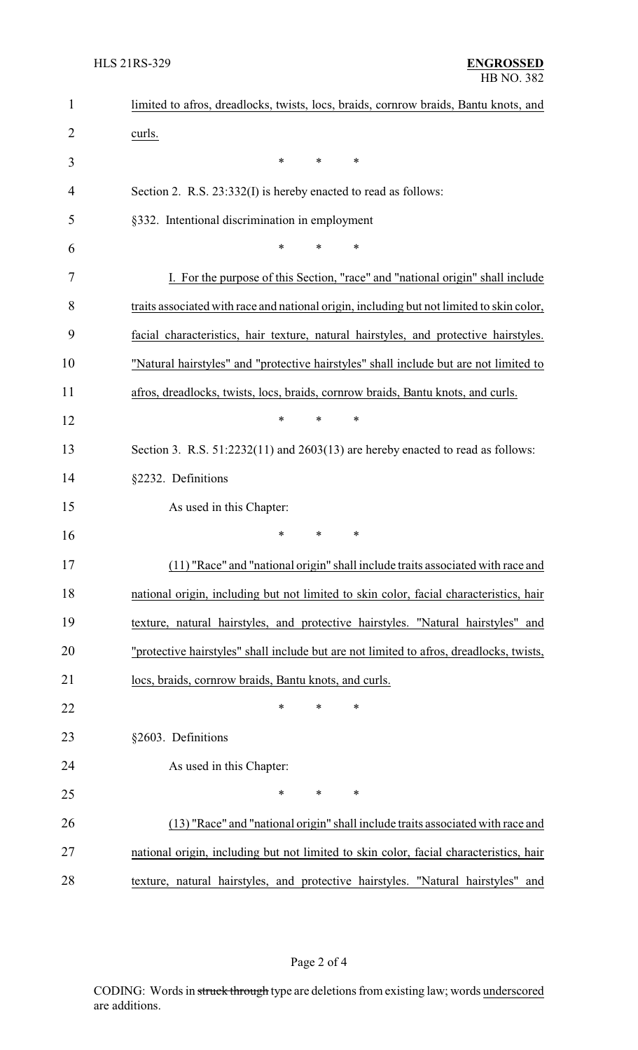| $\mathbf{1}$ | limited to afros, dreadlocks, twists, locs, braids, cornrow braids, Bantu knots, and      |  |  |
|--------------|-------------------------------------------------------------------------------------------|--|--|
| 2            | curls.                                                                                    |  |  |
| 3            | ∗<br>*<br>∗                                                                               |  |  |
| 4            | Section 2. R.S. 23:332(I) is hereby enacted to read as follows:                           |  |  |
| 5            | §332. Intentional discrimination in employment                                            |  |  |
| 6            | *<br>*<br>∗                                                                               |  |  |
| 7            | I. For the purpose of this Section, "race" and "national origin" shall include            |  |  |
| 8            | traits associated with race and national origin, including but not limited to skin color, |  |  |
| 9            | facial characteristics, hair texture, natural hairstyles, and protective hairstyles.      |  |  |
| 10           | "Natural hairstyles" and "protective hairstyles" shall include but are not limited to     |  |  |
| 11           | afros, dreadlocks, twists, locs, braids, cornrow braids, Bantu knots, and curls.          |  |  |
| 12           | *<br>*<br>∗                                                                               |  |  |
| 13           | Section 3. R.S. $51:2232(11)$ and $2603(13)$ are hereby enacted to read as follows:       |  |  |
| 14           | §2232. Definitions                                                                        |  |  |
| 15           | As used in this Chapter:                                                                  |  |  |
| 16           | *<br>*<br>∗                                                                               |  |  |
| 17           | (11) "Race" and "national origin" shall include traits associated with race and           |  |  |
| 18           | national origin, including but not limited to skin color, facial characteristics, hair    |  |  |
| 19           | texture, natural hairstyles, and protective hairstyles. "Natural hairstyles" and          |  |  |
| 20           | "protective hairstyles" shall include but are not limited to afros, dreadlocks, twists,   |  |  |
| 21           | locs, braids, cornrow braids, Bantu knots, and curls.                                     |  |  |
| 22           | $\ast$<br>*<br>*                                                                          |  |  |
| 23           | §2603. Definitions                                                                        |  |  |
| 24           | As used in this Chapter:                                                                  |  |  |
| 25           | *<br>*<br>∗                                                                               |  |  |
| 26           | (13) "Race" and "national origin" shall include traits associated with race and           |  |  |
| 27           | national origin, including but not limited to skin color, facial characteristics, hair    |  |  |
| 28           | texture, natural hairstyles, and protective hairstyles. "Natural hairstyles" and          |  |  |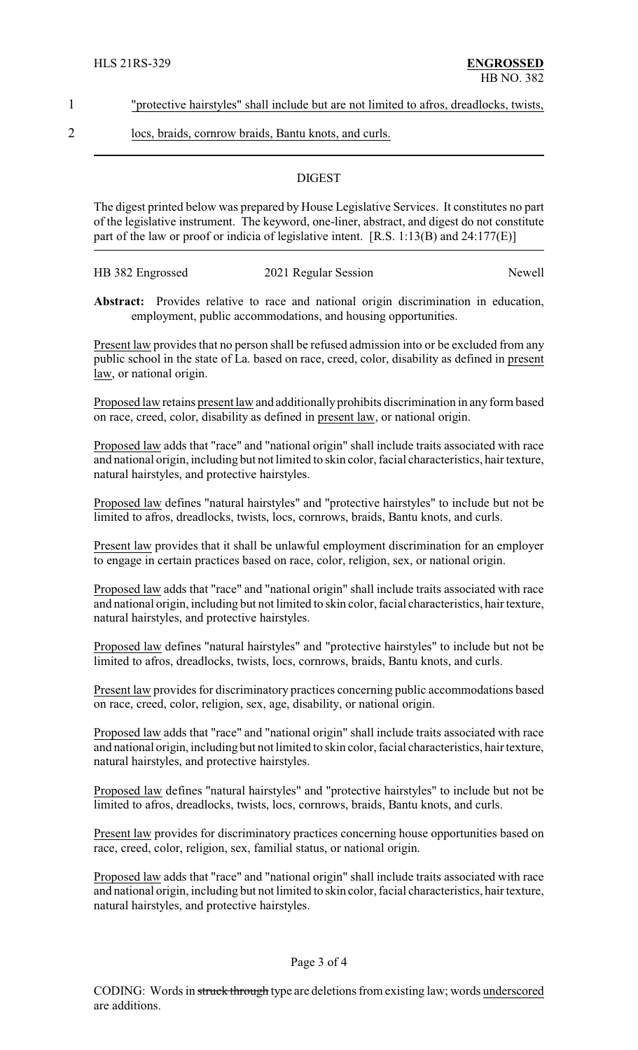1 "protective hairstyles" shall include but are not limited to afros, dreadlocks, twists,

2 locs, braids, cornrow braids, Bantu knots, and curls.

## **DIGEST**

The digest printed below was prepared by House Legislative Services. It constitutes no part of the legislative instrument. The keyword, one-liner, abstract, and digest do not constitute part of the law or proof or indicia of legislative intent. [R.S. 1:13(B) and 24:177(E)]

| HB 382 Engrossed | 2021 Regular Session | Newell |
|------------------|----------------------|--------|
|                  |                      |        |

**Abstract:** Provides relative to race and national origin discrimination in education, employment, public accommodations, and housing opportunities.

Present law provides that no person shall be refused admission into or be excluded from any public school in the state of La. based on race, creed, color, disability as defined in present law, or national origin.

Proposed law retains present law and additionally prohibits discrimination in any form based on race, creed, color, disability as defined in present law, or national origin.

Proposed law adds that "race" and "national origin" shall include traits associated with race and national origin, including but not limited to skin color, facial characteristics, hair texture, natural hairstyles, and protective hairstyles.

Proposed law defines "natural hairstyles" and "protective hairstyles" to include but not be limited to afros, dreadlocks, twists, locs, cornrows, braids, Bantu knots, and curls.

Present law provides that it shall be unlawful employment discrimination for an employer to engage in certain practices based on race, color, religion, sex, or national origin.

Proposed law adds that "race" and "national origin" shall include traits associated with race and national origin, including but not limited to skin color, facial characteristics, hair texture, natural hairstyles, and protective hairstyles.

Proposed law defines "natural hairstyles" and "protective hairstyles" to include but not be limited to afros, dreadlocks, twists, locs, cornrows, braids, Bantu knots, and curls.

Present law provides for discriminatory practices concerning public accommodations based on race, creed, color, religion, sex, age, disability, or national origin.

Proposed law adds that "race" and "national origin" shall include traits associated with race and national origin, including but not limited to skin color, facial characteristics, hair texture, natural hairstyles, and protective hairstyles.

Proposed law defines "natural hairstyles" and "protective hairstyles" to include but not be limited to afros, dreadlocks, twists, locs, cornrows, braids, Bantu knots, and curls.

Present law provides for discriminatory practices concerning house opportunities based on race, creed, color, religion, sex, familial status, or national origin.

Proposed law adds that "race" and "national origin" shall include traits associated with race and national origin, including but not limited to skin color, facial characteristics, hair texture, natural hairstyles, and protective hairstyles.

#### Page 3 of 4